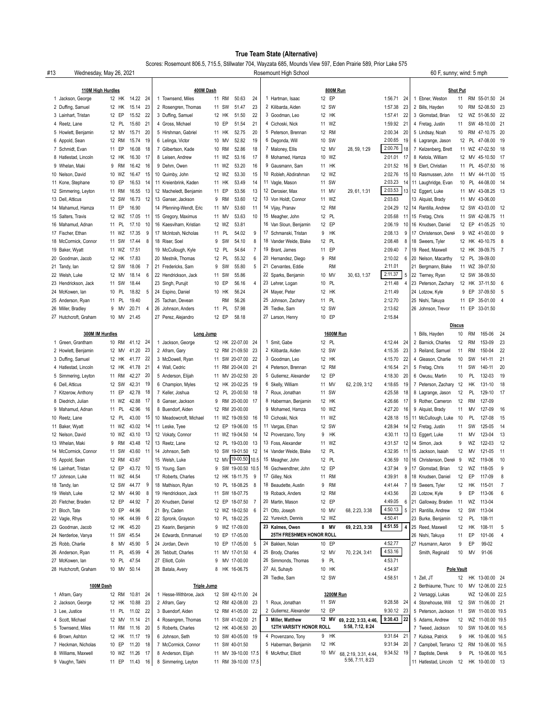## **True Team State (Alternative)**

Scores: Rosemount 806.5, 715.5, Stillwater 704, Wayzata 685, Mounds View 597, Eden Prairie 589, Prior Lake 575

| #13<br>Wednesday, May 26, 2021 |                                        |       |           |          |      | Rosemount High School<br>60 F, sunny; wind: 5 mph |    |           |                     |                |    |                                    |  |                        |                       |                           |                  |                                       |                       |                 |                   |                |
|--------------------------------|----------------------------------------|-------|-----------|----------|------|---------------------------------------------------|----|-----------|---------------------|----------------|----|------------------------------------|--|------------------------|-----------------------|---------------------------|------------------|---------------------------------------|-----------------------|-----------------|-------------------|----------------|
|                                |                                        |       |           |          |      | 400M Dash                                         |    |           |                     |                |    |                                    |  |                        |                       |                           |                  |                                       |                       |                 |                   |                |
|                                | 110M High Hurdles<br>1 Jackson, George |       | 12 HK     | 14.22 24 |      | 1 Townsend, Miles                                 |    | 11 RM     | 50.63               | 24             |    | 1 Hartman, Isaac                   |  | 12 EP                  | 800M Run              | 1:56.71 24                |                  | 1 Ebner, Weston                       | <b>Shot Put</b><br>11 |                 | RM 55-01.50 24    |                |
|                                | 2 Duffing, Samuel                      |       | 12 HK     | 15.14    | 23   | 2 Rosengren, Thomas                               |    | 11 SW     | 51.47               | 23             |    | 2 Kilibarda, Aiden                 |  | 12 SW                  |                       | 23<br>1:57.38             |                  | 2 Bills, Hayden                       | 10                    |                 | RM 52-08.50 23    |                |
|                                | 3 Lainhart, Tristan                    |       | 12 EP     | 15.52    | 22   | 3 Duffing, Samuel                                 |    | 12 HK     | 51.50               | 22             |    | 3 Goodman, Leo                     |  | 12 HK                  |                       | 22<br>1:57.41             |                  | 3 Glomstad, Brian                     | 12                    |                 | WZ 51-06.50 22    |                |
|                                | 4 Reetz, Lane                          |       | 12 PL     | 15.60    | 21   | 4 Gross, Michael                                  |    | 10 EP     | 51.54               | 21             | 4  | Cichoski, Nick                     |  | 11 WZ                  |                       | 1:59.92 21                |                  | 4 Fretag, Justin                      | 11                    |                 | SW 48-10.00 21    |                |
|                                | 5 Howlett, Benjamin                    |       | 12 MV     | 15.71    | 20   | 5 Hirshman, Gabriel                               | 11 | HK        | 52.75               | 20             |    | 5 Peterson, Brennan                |  | 12 RM                  |                       | 2:00.34<br>20             |                  | 5 Lindsay, Noah                       | 10                    |                 | RM 47-10.75 20    |                |
|                                | 6 Appold, Sean                         |       | 12 RM     | 15.74    | 19   | 6 Lelinga, Victor                                 |    | 10 MV     | 52.82               | 19             |    | 6 Degonda, Will                    |  | 10 SW                  |                       | 2:00.65<br>19             |                  | 6 Lagrange, Jason                     |                       |                 | 12 PL 47-08.00 19 |                |
|                                | 7 Schmidt, Evan                        |       | 11 EP     | 16.08    | 18   | 7 Gilbertson, Kade                                |    | 10 RM     | 52.86               | 18             |    | 7 Maloney, Ellis                   |  | 12 MV                  | 28, 59, 1:29          | 2:00.76<br>18             |                  | 7 Kelzenberg, Brett                   |                       |                 | 11 WZ 47-02.50    | - 18           |
|                                | 8 Hatlestad, Lincoln                   |       | 12 HK     | 16.30    | 17   | 8 Leisen, Andrew                                  |    | 11 WZ     | 53.16               | 17             |    | 8 Mohamed, Hamza                   |  | 10 WZ                  |                       | 2:01.01<br>17             |                  | 8 Ketola, William                     |                       |                 | 12 MV 45-10.50 17 |                |
|                                | 9 Whelan, Maki                         |       | 9 RM      | 16.42    | 16   | 9 Dehm, Owen                                      |    | 11 WZ     | 53.20               | 16             | 9  | Gausmann, Sam                      |  | 11 HK                  |                       | 2:01.52<br>16             |                  | 9 Elert, Christian                    |                       |                 | 11 PL 45-07.50 16 |                |
|                                | 10 Nelson, David                       |       | 10 WZ     | 16.47    | 15   | 10 Quimby, John                                   |    | 12 WZ     | 53.30               | 15             |    | 10 Robleh, Abdirahman              |  | 12 WZ                  |                       | 2:02.76<br>15             |                  | 10 Rasmussen, John                    |                       |                 | 11 MV 44-11.00 15 |                |
|                                | 11 Kone, Stephane                      |       | 10 EP     | 16.53    | 14   | 11 Kreienbrink, Kaden                             |    | 11 HK     | 53.49               | 14             |    | 11 Vagle, Mason                    |  | 11 SW                  |                       | 2:03.23<br>14             |                  | 11 Laughridge, Evan                   | 10                    |                 | PL 44-08.00 14    |                |
|                                | 12 Simmering, Leyton                   |       | 11 RM     | 16.55    | 13   | 12 Macheledt, Benjamin                            |    | 11 EP     | 53.56               | 13             |    | 12 Derosier, Max                   |  | 11 MV                  | 29, 61, 1:31          | 2:03.53<br>13             |                  | 12 Eggert, Luke                       |                       |                 | 11 MV 43-08.25 13 |                |
|                                | 13 Dell, Atticus                       |       | 12 SW     | 16.73    | 12   | 13 Ganser, Jackson                                | 9  | RM        | 53.60               | 12             |    | 13 Von Holdt, Connor               |  | 11 WZ                  |                       | 2:03.63                   |                  | 13 Alquist, Brady                     |                       |                 | 11 MV 43-06.00    |                |
|                                | 14 Mahamud, Hamza                      |       | 11 EP     | 16.90    |      | 14 Pfenning-Wendt, Eric                           |    | 11 MV     | 53.60               | 11             |    | 14 Vijay, Pranav                   |  | 12 RM                  |                       | 2:04.29<br>12             |                  | 14 Rantilla, Andrew                   | 12                    |                 | SW 43-03.00 12    |                |
|                                | 15 Salters, Travis                     |       | 12 WZ     | 17.05    | - 11 | 15 Gregory, Maximus                               |    | 11 MV     | 53.63               | 10             |    | 15 Meagher, John                   |  | 12 PL                  |                       | 2:05.68<br>11             |                  | 15 Fretag, Chris                      |                       |                 | 11 SW 42-08.75 11 |                |
|                                | 16 Mahamud, Adnan                      | 11    | <b>PL</b> | 17.10    | 10   | 16 Kaesviham, Kristian                            |    | 12 WZ     | 53.81               |                |    | 16 Van Sloun, Benjamin             |  | 12 EP                  |                       | 2:06.19<br>10             |                  | 16 Knudsen, Daniel                    | 12                    |                 | EP 41-05.25 10    |                |
|                                | 17 Fischer, Ethan                      |       | 11 WZ     | 17.35    | 9    | 17 McIntosh, Nicholas                             |    | 11 PL     | 54.02               | 9              |    | 17 Schmanski, Tristan              |  | 9 HK                   |                       | 2:08.13<br>9              |                  | 17 Christenson, Derel                 | 9                     |                 | WZ 41-00.00       | - 9            |
|                                | 18 McCormick, Connor                   |       | 11 SW     | 17.44    | 8    | 18 Riser, Soel                                    | 9  | SW        | 54.10               | 8              |    | 18 Vander Weide, Blake             |  | 12 PL                  |                       | 8<br>2:08.48              |                  | 18 Sweers, Tyler                      |                       |                 | 12 HK 40-10.75    | - 8            |
|                                | 19 Baker, Wyatt                        |       | 11 WZ     | 17.51    |      | 19 McCullough, Kyle                               |    | 12 PL     | 54.64               | $\overline{7}$ |    | 19 Brant, James                    |  | 11 EP                  |                       | 2:09.40<br>$\overline{7}$ |                  | 19 Reed, Maxwell                      |                       |                 | 12 HK 39-09.75 7  |                |
|                                | 20 Goodman, Jacob                      |       | 12 HK     | 17.83    |      | 20 Mestnik, Thomas                                |    | 12 PL     | 55.32               | 6              |    | 20 Hernandez, Diego                |  | 9 RM                   |                       | 2:10.02<br>$\,6\,$        |                  | 20 Nelson, Macarthy                   |                       |                 | 12 PL 39-09.00    |                |
|                                | 21 Tandy, lan                          |       | 12 SW     | 18.06    | 7    | 21 Fredericks, Sam                                |    | 9 SW      | 55.80               | 5              |    | 21 Cervantes, Eddie                |  | <b>RM</b>              |                       | 2:11.01                   |                  | 21 Bergmann, Blake                    |                       |                 | 11 WZ 39-07.50    |                |
|                                | 22 Welsh, Luke                         |       | 12 MV     | 18.14    | 6    | 22 Hendrickson, Jack                              |    | 11 SW     | 55.86               |                |    | 22 Sparks, Benjamin                |  | 10 MV                  | 30, 63, 1:37          | 2:11.37<br>5              |                  | 22 Tierney, Ryan                      |                       |                 | 12 SW 38-09.50    |                |
|                                | 23 Hendrickson, Jack                   |       | 11 SW     | 18.44    |      | 23 Singh, Purujit                                 |    | 10 EP     | 56.16               | $\overline{4}$ |    | 23 Lehrer, Logan                   |  | 10 PL                  |                       | 2:11.48<br>4              |                  | 23 Peterson, Zachary                  | 12                    |                 | HK 37-11.50 6     |                |
|                                | 24 McKowen, lan                        |       | 10 PL     | 18.82    | 5    | 24 Espino, Daniel                                 |    | 10 HK     | 56.24               |                |    | 24 Mayer, Peter                    |  | 12 HK                  |                       | 2:11.49                   |                  | 24 Lotzow, Kyle                       | 9                     |                 | EP 37-09.50       | - 5            |
|                                | 25 Anderson, Ryan                      | 11    | <b>PL</b> | 19.40    |      | 25 Tachan, Devean                                 |    | <b>RM</b> | 56.26               |                |    | 25 Johnson, Zachary                |  | 11 PL                  |                       | 2:12.70                   |                  | 25 Nishi, Takuya                      | 11                    | EP              | 35-01.00          | $\overline{4}$ |
|                                | 26 Miller, Bradley                     |       | 9 MV      | 20.71    | 4    | 26 Johnson, Anders                                |    | 11 PL     | 57.98               |                |    | 26 Tiedke, Sam                     |  | 12 SW                  |                       | 2:13.62                   |                  | 26 Johnson, Trevor                    |                       |                 | 11 EP 33-01.50    |                |
|                                | 27 Hutchcroft, Graham                  |       | 10 MV     | 21.45    |      | 27 Perez, Alejandro                               |    | 12 EP     | 58.18               |                |    | 27 Larson, Henry                   |  | 10 EP                  |                       | 2:15.84                   |                  |                                       |                       |                 |                   |                |
|                                |                                        |       |           |          |      |                                                   |    |           |                     |                |    |                                    |  |                        |                       |                           |                  |                                       | <b>Discus</b>         |                 |                   |                |
|                                | 300M IM Hurdles<br>1 Green, Grantham   |       | 10 RM     | 41.12 24 |      | Long Jump<br>1 Jackson, George                    |    |           | 12 HK 22-07.00 24   |                |    | 1 Smit, Gabe                       |  | 12 PL                  | <b>1600M Run</b>      | 4:12.44 24                |                  | 1 Bills, Hayden<br>2 Barnick, Charles | 10<br>12              | RM<br><b>RM</b> | 165-06<br>153-09  | 24<br>23       |
|                                | 2 Howlett, Benjamin                    |       | 12 MV     | 41.20 23 |      | 2 Afram, Gary                                     |    |           | 12 RM 21-09.50 23   |                |    | 2 Kilibarda, Aiden                 |  | 12 SW                  |                       | 23<br>4:15.35             |                  | 3 Reiland, Samuel                     | 11                    | RM              | 150-04            | 22             |
|                                | 3 Duffing, Samuel                      |       | 12 HK     | 41.77    | 22   | 3 McDowell, Ryan                                  |    |           | 11 SW 20-07.00      | - 22           |    | 3 Goodman, Leo                     |  | 12 HK                  |                       | 22<br>4:15.70             |                  | 4 Gleason, Charlie                    | 10                    | SW              | 141-11            | 21             |
|                                | 4 Hatlestad, Lincoln                   |       | 12 HK     | 41.78    | -21  | 4 Wall, Cedric                                    |    |           | 11 RM 20-04.00      | - 21           |    | 4 Peterson, Brennan                |  | 12 RM                  |                       | 4:16.54<br>21             |                  | 5 Fretag, Chris                       | 11                    | SW              | 140-11            | 20             |
|                                | 5 Simmering, Leyton                    |       | 11 RM     | 42.27    | -20  | 5 Anderson, Elijah                                |    |           | 11 MV 20-02.50      | 20             |    | 5 Gutierrez, Alexander             |  | 12 EP                  |                       | 4:18.30<br>20             |                  | 6 Owusu, Martin                       | 10                    | PL              | 132-03            | 19             |
|                                | 6 Dell, Atticus                        |       | 12 SW     | 42.31    | 19   | 6 Champion, Myles                                 |    |           | 12 HK 20-02.25      | 19             |    | 6 Skelly, William                  |  | 11 MV                  | 62, 2:09, 3:12        | 4:18.65<br>19             |                  | 7 Peterson, Zachary                   | 12                    | HK              | 131-10            | 18             |
|                                | 7 Kitzerow, Anthony                    | 11    | EP        | 42.78    | 18   | 7 Keller, Joshua                                  | 12 |           | PL 20-00.50         | - 18           | 7  | Roux, Jonathan                     |  | 11 SW                  |                       | 4:25.58<br>18             |                  | 8 Lagrange, Jason                     | 12                    | PL              | 129-10            | 17             |
|                                | 8 Diedrich, Julian                     |       | 11 WZ     | 42.88    | 17   | 8 Ganser, Jackson                                 | 9  |           | RM 20-00.00         | - 17           |    | 8 Haberman, Benjamin               |  | 12 HK                  |                       | 4:26.66<br>17             |                  | 9 Rother, Cameron                     | 12                    | RM              | 127-09            |                |
|                                | 9 Mahamud, Adnan                       | 11 PL |           | 42.96    | 16   | 8 Buendorf, Aiden                                 |    |           | 12 RM 20-00.00      |                | 9  | Mohamed, Hamza                     |  | 10 WZ                  |                       | 16<br>4:27.20             |                  | 9 Alquist, Brady                      | 11                    | MV              | 127-09            | 16             |
|                                | 10 Reetz, Lane                         |       | 12 PL     | 43.00    | 15   | 10 Meadowcroft, Michael                           |    |           | 11 WZ 19-09.50 16   |                |    | 10 Cichoski, Nick                  |  | 11 WZ                  |                       | 4:28.18<br>15             |                  | 11 McCullough, Luke                   | 10                    | PL              | 127-08            | 15             |
|                                | 11 Baker, Wyatt                        |       | 11 WZ     | 43.02    | 14   | 11 Leske, Tyee                                    |    |           | 12 EP 19-06.00      | 15             |    | 11 Vargas, Ethan                   |  | 12 SW                  |                       | 14<br>4:28.94             |                  | 12 Fretag, Justin                     | 11                    | SW              | 125-05            | 14             |
|                                | 12 Nelson, David                       |       | 10 WZ     | 43.10    | 13   | 12 Vokaty, Connor                                 |    |           | 11 WZ 19-04.50      | -14            |    | 12 Provenzano, Tony                |  | 9 HK                   |                       | 13<br>4:30.11             |                  | 13 Eggert, Luke                       | 11                    | MV              | 123-04            | 13             |
|                                | 13 Whelan, Maki                        | 9     | RM        | 43.48    | 12   | 13 Reetz, Lane                                    |    |           | 12 PL 19-03.00      | - 13           |    | 13 Foss, Alexander                 |  | 11 WZ                  |                       | 12<br>4:31.57             |                  | 14 Simon, Jack                        | 9                     | WZ              | 122-03            | 12             |
|                                | 14 McCormick, Connor                   |       | 11 SW     | 43.60    | 11   | 14 Johnson, Seth                                  |    |           | 10 SW 19-01.50      | 12             |    | 14 Vander Weide, Blake             |  | 12 PL                  |                       | 4:32.95<br>11             |                  | 15 Jackson, Isaiah                    | 12                    | MV              | 121-05            | 11             |
|                                | 15 Appold, Sean                        |       | 12 RM     | 43.67    |      | 15 Welsh, Luke                                    |    |           | 12 MV 19-00.50 10.5 |                |    | 15 Meagher, John                   |  | 12 PL                  |                       | 4:36.59<br>10             |                  | 16 Christenson, Derel                 | 9                     | WZ              | 119-06            | 10             |
|                                | 16 Lainhart, Tristan                   |       | 12 EP     | 43.72    | 10   | 15 Young, Sam                                     | 9  |           | SW 19-00.50 10.5    |                |    | 16 Gschwendtner, John              |  | 12 EP                  |                       | 9<br>4:37.94              |                  | 17 Glomstad, Brian                    | 12                    | WZ              | 118-05            | 9              |
|                                | 17 Johnson, Luke                       |       | 11 WZ     | 44.54    |      | 17 Roberts, Charles                               |    |           | 12 HK 18-11.75      | 9              | 17 | Gilley, Nick                       |  | 11 RM                  |                       | 4:39.91<br>8              |                  | 18 Knudsen, Daniel                    | 12                    | EP              | 117-09            | 8              |
|                                | 18 Tandy, lan                          |       | 12 SW     | 44.77    | 9    | 18 Mathison, Rylan                                |    |           | 10 PL 18-08.25      | - 8            | 18 | Beaudette, Austin                  |  | 9 RM                   |                       | $\overline{7}$<br>4:41.44 |                  | 19 Sweers, Tyler                      | 12                    | HK              | 115-01            | 7              |
|                                | 19 Welsh, Luke                         |       | 12 MV     | 44.90    | 8    | 19 Hendrickson, Jack                              |    |           | 11 SW 18-07.75      |                |    | 19 Roback, Anders                  |  | 12 RM                  |                       | 4:43.56                   |                  | 20 Lotzow, Kyle                       | 9                     | EP              | 113-06            | 6              |
|                                | 20 Fletcher, Braden                    |       | 12 EP     | 44.92    | 7    | 20 Knudsen, Daniel                                |    |           | 12 EP 18-07.50 7    |                |    | 20 Martin, Mason                   |  | 12 EP                  |                       | 4:49.05<br>6              |                  | 21 Galloway, Braden                   | 11                    | WZ              | 113-04            |                |
|                                | 21 Bloch, Tate                         |       | 10 EP     | 44.96    |      | 21 Bry, Caden                                     |    |           | 12 WZ 18-02.50 6    |                |    | 21 Otto, Joseph                    |  | 10 MV                  | 68, 2:23, 3:38        | 4:50.13<br>5              |                  | 21 Rantilla, Andrew                   | 12                    | SW              | 113-04            |                |
|                                | 22 Vagle, Rhys                         |       | 10 HK     | 44.99    | 6    | 22 Spronk, Grayson                                |    |           | 10 PL 18-02.25      |                |    | 22 Yurevich, Dennis                |  | 12 WZ                  |                       | 4:50.41                   |                  | 23 Burke, Benjamin                    | 12                    | PL              | 108-11            |                |
|                                | 23 Goodman, Jacob                      |       | 12 HK     | 45.20    |      | 23 Kearin, Benjamin                               |    |           | 9 WZ 17-09.00       |                |    | 23 Kalmes, Owen                    |  | 8 MV                   | 69, 2:23, 3:38        | 4:51.55<br>4              |                  | 25 Reed, Maxwell                      | 12                    | HK              | 108-11            | 5              |
|                                | 24 Nerderloe, Vanya                    |       | 11 SW     | 45.54    |      | 24 Edwards, Emmanuel                              |    |           | 10 EP 17-05.00      |                |    | 25TH FRESHMEN HONOR ROLL           |  |                        |                       |                           |                  | 26 Nishi, Takuya                      | 11                    | EP              | 101-06            | 4              |
|                                | 25 Robb, Charlie                       | 8     | MV        | 45.90    | 5    | 24 Jordan, Devin                                  | 10 |           | EP 17-05.00 5       |                |    | 24 Bakken, Nolan                   |  | 10 EP                  |                       | 4:52.77                   |                  | 27 Husmann, Aaron                     | 9                     | EP              | 99-02             |                |
|                                | 26 Anderson, Ryan                      | 11 PL |           | 45.99    | 4    | 26 Tebbutt, Charles                               |    |           | 11 MV 17-01.50 4    |                |    | 25 Brody, Charles                  |  | 12 MV                  | 70, 2:24, 3:41        | 4:53.16                   |                  | Smith, Reginald                       | 10                    | MV              | 91-06             |                |
|                                | 27 McKowen, lan                        |       | 10 PL     | 47.54    |      | 27 Elliott, Colin                                 | 9  |           | MV 17-00.00         |                |    | 26 Simmonds, Thomas                |  | 9 PL                   |                       | 4:53.71                   |                  |                                       |                       |                 |                   |                |
|                                | 28 Hutchcroft, Graham                  |       | 10 MV     | 50.14    |      | 28 Batala, Avery                                  | 8  |           | HK 16-06.75         |                |    | 27 Ali, Suhayb                     |  | 10 HK                  |                       | 4:54.97                   |                  |                                       | <b>Pole Vault</b>     |                 |                   |                |
|                                |                                        |       |           |          |      |                                                   |    |           |                     |                |    | 28 Tiedke, Sam<br>4:58.51<br>12 SW |  |                        |                       |                           |                  | 1 Zell, JT                            | 12                    |                 | HK 13-00.00 24    |                |
| 100M Dash                      |                                        |       |           |          |      | <b>Triple Jump</b>                                |    |           |                     |                |    |                                    |  | 2 Berthiaume, Thunc 10 |                       |                           | MV 12-06.00 22.5 |                                       |                       |                 |                   |                |
|                                | 1 Afram, Gary                          |       | 12 RM     | 10.81 24 |      | 1 Hesse-Withbroe, Jack                            |    |           | 12 SW 42-11.00 24   |                |    |                                    |  |                        | 3200M Run             |                           |                  | 2 Versaggi, Lukas                     |                       |                 | WZ 12-06.00 22.5  |                |
|                                | 2 Jackson, George                      |       | 12 HK     | 10.88    | 23   | 2 Afram, Gary                                     |    |           | 12 RM 42-08.00 23   |                |    | 1 Roux, Jonathan                   |  | 11 SW                  |                       | 9:28.58 24                |                  | 4 Stonehouse, Will                    | 12                    |                 | SW 11-06.00 21    |                |
|                                | 3 Lee, Justice                         |       | 11 PL     | 11.02    | -22  | 3 Buendorf, Aiden                                 |    |           | 12 RM 41-05.00 22   |                |    | 2 Gutierrez, Alexander             |  | 12 EP                  |                       | 9:30.12 23                |                  | 5 Peterson, Jackson                   | 11                    |                 | SW 11-00.00 19.5  |                |
|                                | 4 Scott, Michael                       |       | 12 MV     | 11.14    | 21   | 4 Rosengren, Thomas                               |    |           | 11 SW 41-02.00 21   |                |    | 3 Miller, Matthew                  |  | 12 MV                  | 69, 2:22, 3:33, 4:46, | $9:30.43$ 22              |                  | 5 Adams, Andrew                       | 12                    |                 | WZ 11-00.00 19.5  |                |
|                                | 5 Townsend, Miles                      |       | 11 RM     | 11.16    | 20   | 5 Roberts, Charles                                |    |           | 12 HK 40-06.50 20   |                |    | 12TH VARSITY HONOR ROLL            |  |                        | 5:58, 7:12, 8:24      |                           |                  | 7 Tweed, Jackson                      | 10                    |                 | SW 10-06.00 16.5  |                |
|                                | 6 Brown, Ashton                        |       | 12 HK     | 11.17    | 19   | 6 Johnson, Seth                                   |    |           | 10 SW 40-05.00 19   |                |    | 4 Provenzano, Tony                 |  | 9 HK                   |                       | 9:31.64 21                |                  | 7 Kubisa, Patrick                     | 9                     |                 | HK 10-06.00 16.5  |                |
|                                | 7 Heckman, Nicholas                    |       | 10 EP     | 11.20    | 18   | 7 McCormick, Connor                               |    |           | 11 SW 40-01.50      |                |    | 5 Haberman, Benjamin               |  | 12 HK                  |                       | 9:31.94 20                |                  | 7 Campbell, Terrance 12               |                       |                 | RM 10-06.00 16.5  |                |
|                                | 8 Williams, Maxwell                    |       | 10 WZ     | 11.26    | -17  | 8 Anderson, Elijah                                |    |           | 11 MV 39-10.00 17.5 |                |    | 6 McArthur, Elliott                |  | 10 MV                  | 68, 2:19, 3:31, 4:44, | 9:34.52 19                | 7                | Baptiste, Derek                       | 9                     |                 | PL 10-06.00 16.5  |                |
|                                | 9 Vaughn, Takhi                        |       | 11 EP     | 11.43    | - 16 | 8 Simmering, Leyton                               |    |           | 11 RM 39-10.00 17.5 |                |    |                                    |  |                        | 5:56, 7:11, 8:23      |                           |                  | 11 Hatlestad, Lincoln                 | 12                    |                 | HK 10-00.00 13    |                |